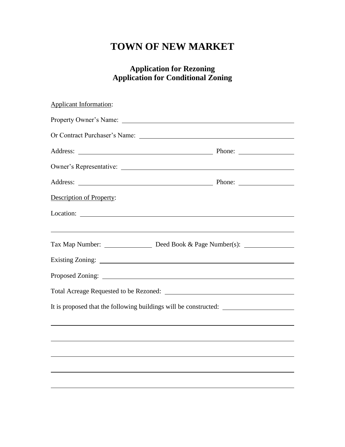# **TOWN OF NEW MARKET**

## **Application for Rezoning Application for Conditional Zoning**

| <b>Applicant Information:</b> |                                                                                   |  |  |  |  |
|-------------------------------|-----------------------------------------------------------------------------------|--|--|--|--|
|                               |                                                                                   |  |  |  |  |
|                               | Or Contract Purchaser's Name:                                                     |  |  |  |  |
|                               |                                                                                   |  |  |  |  |
|                               |                                                                                   |  |  |  |  |
|                               |                                                                                   |  |  |  |  |
| Description of Property:      |                                                                                   |  |  |  |  |
|                               |                                                                                   |  |  |  |  |
|                               |                                                                                   |  |  |  |  |
|                               |                                                                                   |  |  |  |  |
|                               |                                                                                   |  |  |  |  |
|                               |                                                                                   |  |  |  |  |
|                               | It is proposed that the following buildings will be constructed: ________________ |  |  |  |  |
|                               | <u> 1989 - Jan Salaman Salaman (j. 1989)</u>                                      |  |  |  |  |
|                               |                                                                                   |  |  |  |  |
|                               |                                                                                   |  |  |  |  |
|                               |                                                                                   |  |  |  |  |
|                               |                                                                                   |  |  |  |  |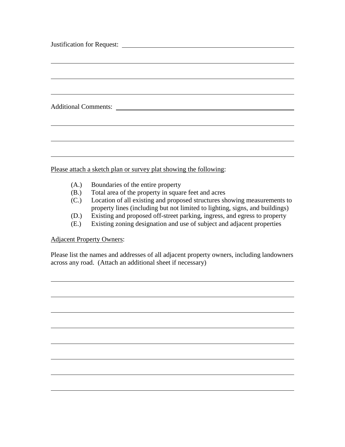| Additional Comments: |  |  |
|----------------------|--|--|
|                      |  |  |
|                      |  |  |
|                      |  |  |
|                      |  |  |
|                      |  |  |
|                      |  |  |
|                      |  |  |

Please attach a sketch plan or survey plat showing the following:

- (A.) Boundaries of the entire property
- (B.) Total area of the property in square feet and acres
- (C.) Location of all existing and proposed structures showing measurements to property lines (including but not limited to lighting, signs, and buildings)
- (D.) Existing and proposed off-street parking, ingress, and egress to property
- (E.) Existing zoning designation and use of subject and adjacent properties

#### Adjacent Property Owners:

Please list the names and addresses of all adjacent property owners, including landowners across any road. (Attach an additional sheet if necessary)